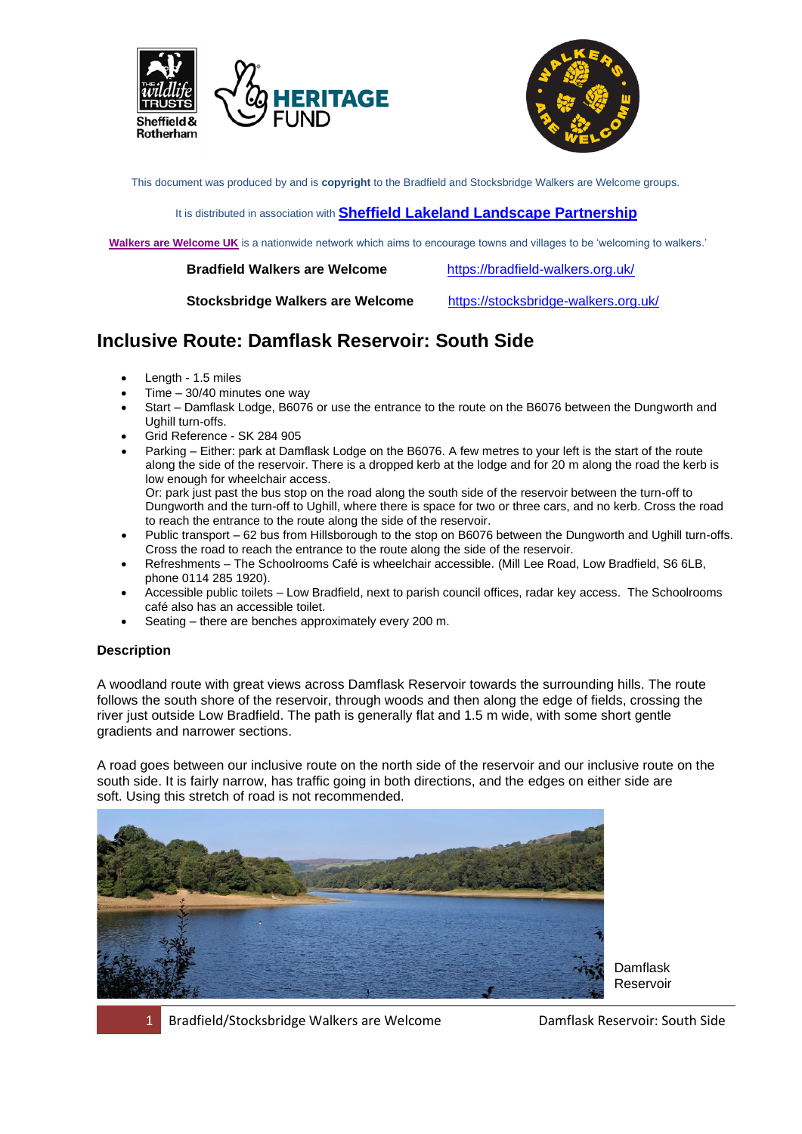



This document was produced by and is **copyright** to the Bradfield and Stocksbridge Walkers are Welcome groups.

#### It is distributed in association with **[Sheffield Lakeland Landscape Partnership](https://www.wildsheffield.com/discover/your-community/sheffield-lakeland-landscape-partnership/)**

**[Walkers are Welcome UK](http://www.walkersarewelcome.org.uk/)** is a nationwide network which aims to encourage towns and villages to be 'welcoming to walkers.'

 **Bradfield Walkers are Welcome** <https://bradfield-walkers.org.uk/>

 **Stocksbridge Walkers are Welcome** <https://stocksbridge-walkers.org.uk/>

# **Inclusive Route: Damflask Reservoir: South Side**

- Length 1.5 miles
- $Time 30/40$  minutes one way
- Start Damflask Lodge, B6076 or use the entrance to the route on the B6076 between the Dungworth and Ughill turn-offs.
- Grid Reference SK 284 905
- Parking Either: park at Damflask Lodge on the B6076. A few metres to your left is the start of the route along the side of the reservoir. There is a dropped kerb at the lodge and for 20 m along the road the kerb is low enough for wheelchair access. Or: park just past the bus stop on the road along the south side of the reservoir between the turn-off to Dungworth and the turn-off to Ughill, where there is space for two or three cars, and no kerb. Cross the road to reach the entrance to the route along the side of the reservoir.
- Public transport 62 bus from Hillsborough to the stop on B6076 between the Dungworth and Ughill turn-offs. Cross the road to reach the entrance to the route along the side of the reservoir.
- Refreshments The Schoolrooms Café is wheelchair accessible. (Mill Lee Road, Low Bradfield, S6 6LB, phone 0114 285 1920).
- Accessible public toilets Low Bradfield, next to parish council offices, radar key access. The Schoolrooms café also has an accessible toilet.
- Seating there are benches approximately every 200 m.

### **Description**

A woodland route with great views across Damflask Reservoir towards the surrounding hills. The route follows the south shore of the reservoir, through woods and then along the edge of fields, crossing the river just outside Low Bradfield. The path is generally flat and 1.5 m wide, with some short gentle gradients and narrower sections.

A road goes between our inclusive route on the north side of the reservoir and our inclusive route on the south side. It is fairly narrow, has traffic going in both directions, and the edges on either side are soft. Using this stretch of road is not recommended.



Damflask Reservoir

1 Bradfield/Stocksbridge Walkers are Welcome Damflask Reservoir: South Side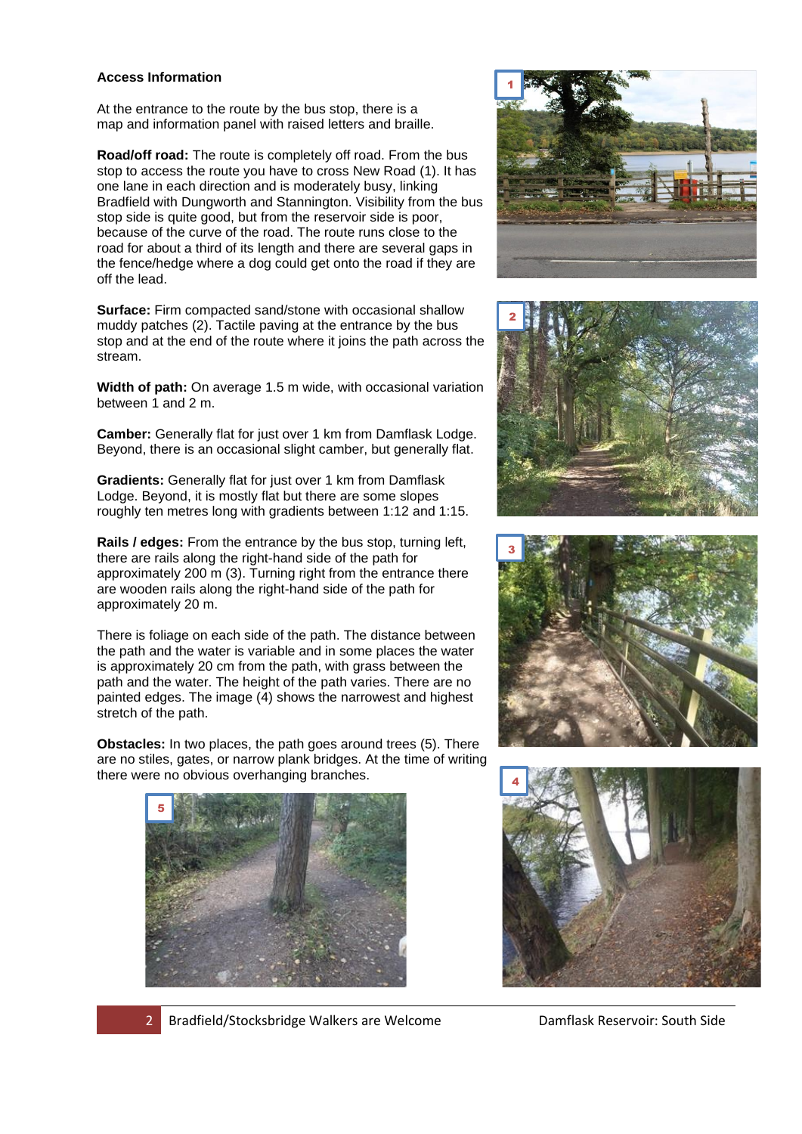#### **Access Information**

At the entrance to the route by the bus stop, there is a map and information panel with raised letters and braille.

**Road/off road:** The route is completely off road. From the bus stop to access the route you have to cross New Road (1). It has one lane in each direction and is moderately busy, linking Bradfield with Dungworth and Stannington. Visibility from the bus stop side is quite good, but from the reservoir side is poor, because of the curve of the road. The route runs close to the road for about a third of its length and there are several gaps in the fence/hedge where a dog could get onto the road if they are off the lead.

**Surface:** Firm compacted sand/stone with occasional shallow muddy patches (2). Tactile paving at the entrance by the bus stop and at the end of the route where it joins the path across the stream.

**Width of path:** On average 1.5 m wide, with occasional variation between 1 and 2 m.

**Camber:** Generally flat for just over 1 km from Damflask Lodge. Beyond, there is an occasional slight camber, but generally flat.

**Gradients:** Generally flat for just over 1 km from Damflask Lodge. Beyond, it is mostly flat but there are some slopes roughly ten metres long with gradients between 1:12 and 1:15.

**Rails / edges:** From the entrance by the bus stop, turning left, there are rails along the right-hand side of the path for approximately 200 m (3). Turning right from the entrance there are wooden rails along the right-hand side of the path for approximately 20 m.

There is foliage on each side of the path. The distance between the path and the water is variable and in some places the water is approximately 20 cm from the path, with grass between the path and the water. The height of the path varies. There are no painted edges. The image (4) shows the narrowest and highest stretch of the path.

**Obstacles:** In two places, the path goes around trees (5). There are no stiles, gates, or narrow plank bridges. At the time of writing there were no obvious overhanging branches.











2 Bradfield/Stocksbridge Walkers are Welcome Damflask Reservoir: South Side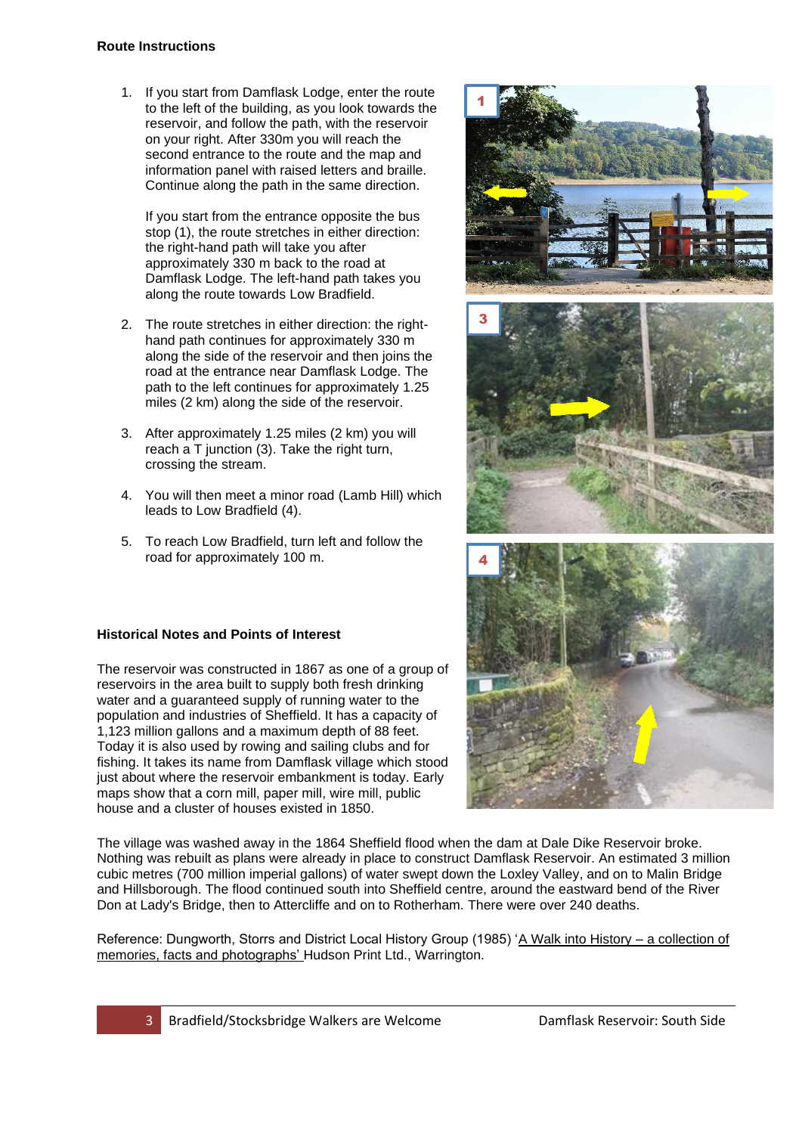#### **Route Instructions**

1. If you start from Damflask Lodge, enter the route to the left of the building, as you look towards the reservoir, and follow the path, with the reservoir on your right. After 330m you will reach the second entrance to the route and the map and information panel with raised letters and braille. Continue along the path in the same direction.

If you start from the entrance opposite the bus stop (1), the route stretches in either direction: the right-hand path will take you after approximately 330 m back to the road at Damflask Lodge. The left-hand path takes you along the route towards Low Bradfield.

- 2. The route stretches in either direction: the righthand path continues for approximately 330 m along the side of the reservoir and then joins the road at the entrance near Damflask Lodge. The path to the left continues for approximately 1.25 miles (2 km) along the side of the reservoir.
- 3. After approximately 1.25 miles (2 km) you will reach a T junction (3). Take the right turn, crossing the stream.
- 4. You will then meet a minor road (Lamb Hill) which leads to Low Bradfield (4).
- 5. To reach Low Bradfield, turn left and follow the road for approximately 100 m.

## **Historical Notes and Points of Interest**

The reservoir was constructed in 1867 as one of a group of reservoirs in the area built to supply both fresh drinking water and a guaranteed supply of running water to the population and industries of Sheffield. It has a capacity of 1,123 million gallons and a maximum depth of 88 feet. Today it is also used by rowing and sailing clubs and for fishing. It takes its name from Damflask village which stood just about where the reservoir embankment is today. Early maps show that a corn mill, paper mill, wire mill, public house and a cluster of houses existed in 1850.



The village was washed away in the 1864 Sheffield flood when the dam at Dale Dike Reservoir broke. Nothing was rebuilt as plans were already in place to construct Damflask Reservoir. An estimated 3 million cubic metres (700 million imperial gallons) of water swept down the Loxley Valley, and on to Malin Bridge and Hillsborough. The flood continued south into Sheffield centre, around the eastward bend of the River Don at Lady's Bridge, then to Attercliffe and on to Rotherham. There were over 240 deaths.

Reference: Dungworth, Storrs and District Local History Group (1985) 'A Walk into History – a collection of memories, facts and photographs' Hudson Print Ltd., Warrington.